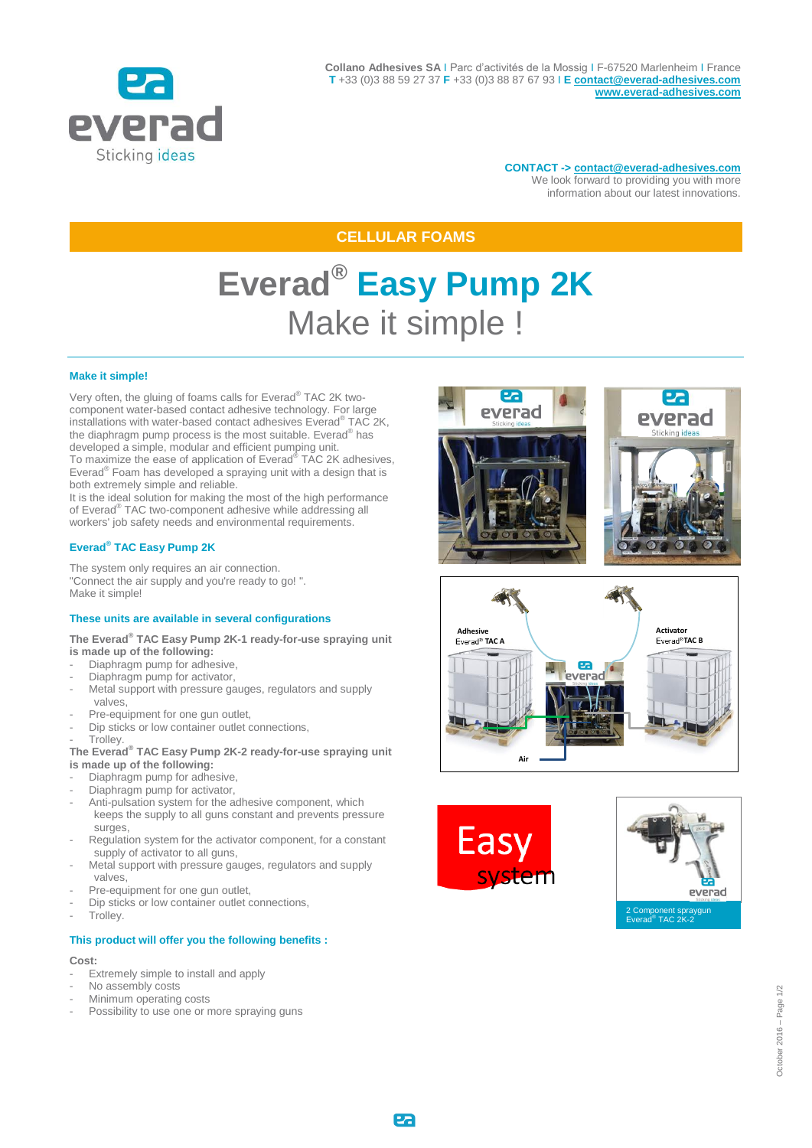

**CONTACT -> [contact@everad-adhesives.com](mailto:contact@everad-adhesives.com)** We look forward to providing you with more information about our latest innovations.

# **CELLULAR FOAMS**

# **Everad® Easy Pump 2K** Make it simple !

### **Make it simple!**

Very often, the gluing of foams calls for Everad® TAC 2K twocomponent water-based contact adhesive technology. For large installations with water-based contact adhesives Everad® TAC 2K, the diaphragm pump process is the most suitable. Everad<sup>®</sup> has developed a simple, modular and efficient pumping unit. To maximize the ease of application of Everad® TAC 2K adhesives, Everad® Foam has developed a spraying unit with a design that is both extremely simple and reliable.

It is the ideal solution for making the most of the high performance of Everad® TAC two-component adhesive while addressing all workers' job safety needs and environmental requirements.

## **Everad® TAC Easy Pump 2K**

The system only requires an air connection. "Connect the air supply and you're ready to go! ". Make it simple!

#### **These units are available in several configurations**

#### **The Everad® TAC Easy Pump 2K-1 ready-for-use spraying unit is made up of the following:**

- Diaphragm pump for adhesive,
- Diaphragm pump for activator,
- Metal support with pressure gauges, regulators and supply valves,
- Pre-equipment for one gun outlet,
- Dip sticks or low container outlet connections,
- Trolley.

#### **The Everad® TAC Easy Pump 2K-2 ready-for-use spraying unit is made up of the following:**

- Diaphragm pump for adhesive,
- Diaphragm pump for activator,
- Anti-pulsation system for the adhesive component, which keeps the supply to all guns constant and prevents pressure surges,
- Regulation system for the activator component, for a constant supply of activator to all guns,
- Metal support with pressure gauges, regulators and supply valves,
- Pre-equipment for one gun outlet,
- Dip sticks or low container outlet connections,
- Trolley.

#### **This product will offer you the following benefits :**

#### **Cost:**

- Extremely simple to install and apply
- No assembly costs
- Minimum operating costs
- Possibility to use one or more spraying guns